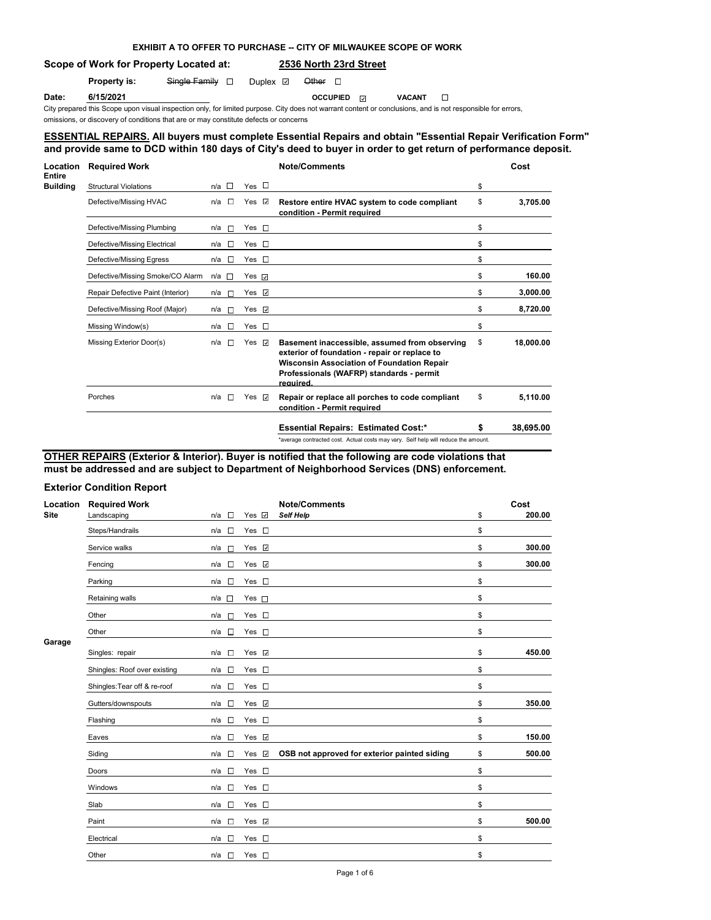### **EXHIBIT A TO OFFER TO PURCHASE -- CITY OF MILWAUKEE SCOPE OF WORK**

## **Scope of Work for Property Located at: 2536 North 23rd Street**

**Property is:** Single Family **D** Duplex **Other** D

**Date:** 6/15/2021 **OCCUPIED** ⊘ **OCCUPIED** ∨ACANT

City prepared this Scope upon visual inspection only, for limited purpose. City does not warrant content or conclusions, and is not responsible for errors,

omissions, or discovery of conditions that are or may constitute defects or concerns

### **ESSENTIAL REPAIRS. All buyers must complete Essential Repairs and obtain "Essential Repair Verification Form" and provide same to DCD within 180 days of City's deed to buyer in order to get return of performance deposit.**

| Location<br>Entire | <b>Required Work</b>              |                            |                    | <b>Note/Comments</b>                                                                                                                                                                                         |    | Cost      |
|--------------------|-----------------------------------|----------------------------|--------------------|--------------------------------------------------------------------------------------------------------------------------------------------------------------------------------------------------------------|----|-----------|
| <b>Building</b>    | <b>Structural Violations</b>      | n/a $\Box$                 | Yes $\Box$         |                                                                                                                                                                                                              | \$ |           |
|                    | Defective/Missing HVAC            | n/a □                      | Yes $\vee$         | Restore entire HVAC system to code compliant<br>condition - Permit required                                                                                                                                  | \$ | 3,705.00  |
|                    | Defective/Missing Plumbing        | n/a<br><b>In the limit</b> | Yes $\square$      |                                                                                                                                                                                                              | \$ |           |
|                    | Defective/Missing Electrical      | E<br>n/a                   | $Yes \Box$         |                                                                                                                                                                                                              | \$ |           |
|                    | Defective/Missing Egress          | $n/a$ $\square$            | Yes $\square$      |                                                                                                                                                                                                              | \$ |           |
|                    | Defective/Missing Smoke/CO Alarm  | n/a □                      | Yes $\overline{y}$ |                                                                                                                                                                                                              | \$ | 160.00    |
|                    | Repair Defective Paint (Interior) | $n/a$ $\Box$               | Yes $\sqrt{ }$     |                                                                                                                                                                                                              | \$ | 3,000.00  |
|                    | Defective/Missing Roof (Major)    | $n/a$ $\Box$               | Yes $\vee$         |                                                                                                                                                                                                              | \$ | 8,720.00  |
|                    | Missing Window(s)                 | <b>n</b><br>n/a            | $Yes \Box$         |                                                                                                                                                                                                              | \$ |           |
|                    | Missing Exterior Door(s)          | n/a<br><b>T</b>            | Yes $\overline{v}$ | Basement inaccessible, assumed from observing<br>exterior of foundation - repair or replace to<br><b>Wisconsin Association of Foundation Repair</b><br>Professionals (WAFRP) standards - permit<br>required. | \$ | 18,000.00 |
|                    | Porches                           | n/a<br><b>IS</b>           | Yes $\sqrt{ }$     | Repair or replace all porches to code compliant<br>condition - Permit required                                                                                                                               | \$ | 5.110.00  |
|                    |                                   |                            |                    | <b>Essential Repairs: Estimated Cost:*</b>                                                                                                                                                                   | S  | 38,695,00 |
|                    |                                   |                            |                    | *average contracted cost. Actual costs may vary. Self help will reduce the amount.                                                                                                                           |    |           |

#### **OTHER REPAIRS (Exterior & Interior). Buyer is notified that the following are code violations that must be addressed and are subject to Department of Neighborhood Services (DNS) enforcement.**

#### **Exterior Condition Report**

| Location    | <b>Required Work</b>         |                                 |                                    | <b>Note/Comments</b>                         | Cost         |
|-------------|------------------------------|---------------------------------|------------------------------------|----------------------------------------------|--------------|
| <b>Site</b> | Landscaping                  | n/a<br>G                        | Yes $\vee$                         | <b>Self Help</b>                             | \$<br>200.00 |
|             | Steps/Handrails              | $\Box$<br>n/a                   | $\Box$<br>Yes                      |                                              | \$           |
|             | Service walks                | n/a<br>$\overline{\phantom{a}}$ | Yes v                              |                                              | \$<br>300.00 |
|             | Fencing                      | n/a<br>$\Box$                   | Yes $\vee$                         |                                              | \$<br>300.00 |
|             | Parking                      | $\sim$<br>n/a                   | $\mathcal{L}_{\mathcal{A}}$<br>Yes |                                              | \$           |
|             | Retaining walls              | $\sim$<br>n/a                   | Yes $\square$                      |                                              | \$           |
|             | Other                        | n/a<br>П                        | $\Box$<br>Yes                      |                                              | \$           |
|             | Other                        | n/a<br>$\mathbb{R}^n$           | Yes $\square$                      |                                              | \$           |
| Garage      | Singles: repair              | n/a<br>$\sim$                   | Yes $\vee$                         |                                              | \$<br>450.00 |
|             | Shingles: Roof over existing | n/a<br>$\Box$                   | Yes<br>$\Box$                      |                                              | \$           |
|             | Shingles: Tear off & re-roof | П<br>n/a                        | Yes $\square$                      |                                              | \$           |
|             | Gutters/downspouts           | $\sim$<br>n/a                   | $\checkmark$<br>Yes                |                                              | \$<br>350.00 |
|             | Flashing                     | $\Box$<br>n/a                   | Yes $\square$                      |                                              | \$           |
|             | Eaves                        | n/a<br>$\sim$                   | $\checkmark$<br>Yes                |                                              | \$<br>150.00 |
|             | Siding                       | П<br>n/a                        | $\checkmark$<br>Yes                | OSB not approved for exterior painted siding | \$<br>500.00 |
|             | Doors                        | $\overline{\phantom{a}}$<br>n/a | $\sim$<br>Yes                      |                                              | \$           |
|             | Windows                      | $\Box$<br>n/a                   | $\overline{\phantom{a}}$<br>Yes    |                                              | \$           |
|             | Slab                         | $\sim$<br>n/a                   | $\mathcal{L}_{\mathcal{A}}$<br>Yes |                                              | \$           |
|             | Paint                        | $\sim$<br>n/a                   | $\checkmark$<br>Yes                |                                              | \$<br>500.00 |
|             | Electrical                   | n/a<br><b>CO</b>                | Yes $\square$                      |                                              | \$           |
|             | Other                        | n/a<br>$\sim$                   | Yes $\square$                      |                                              | \$           |
|             |                              |                                 |                                    |                                              |              |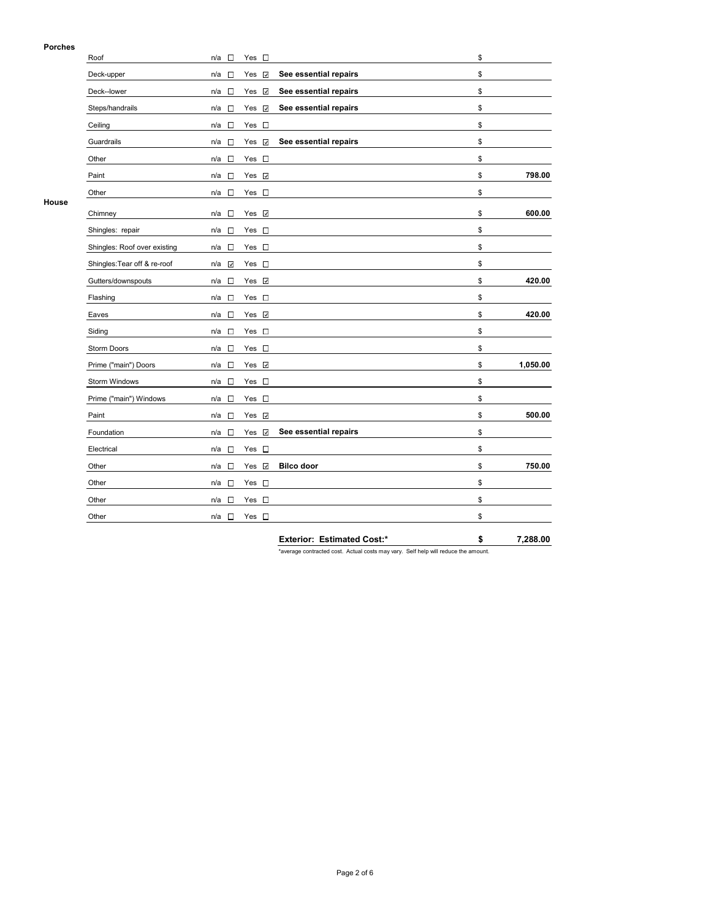### **Porches**

|       | Roof                         | $\sim$<br>n/a                   | Yes $\square$                   |                                   | \$             |
|-------|------------------------------|---------------------------------|---------------------------------|-----------------------------------|----------------|
|       | Deck-upper                   | n/a<br>$\Box$                   | $\checkmark$<br>Yes             | See essential repairs             | \$             |
|       | Deck--lower                  | $\Box$<br>n/a                   | $\checkmark$<br>Yes             | See essential repairs             | \$             |
|       | Steps/handrails              | n/a<br>П                        | Yes<br>$\checkmark$             | See essential repairs             | \$             |
|       | Ceiling                      | n/a<br>$\sim$                   | Yes $\square$                   |                                   | \$             |
|       | Guardrails                   | n/a<br>$\Box$                   | Yes<br>$\checkmark$             | See essential repairs             | \$             |
|       | Other                        | $\sim$<br>n/a                   | Yes $\square$                   |                                   | \$             |
|       | Paint                        | $\sim$<br>n/a                   | Yes $\vee$                      |                                   | \$<br>798.00   |
|       | Other                        | $\Box$<br>n/a                   | Yes<br>$\overline{\phantom{a}}$ |                                   | \$             |
| House | Chimney                      | $\sim$<br>n/a                   | Yes<br>$\checkmark$             |                                   | \$<br>600.00   |
|       | Shingles: repair             | n/a<br>$\sim$                   | Yes $\square$                   |                                   | \$             |
|       | Shingles: Roof over existing | n/a<br>$\sim$                   | Yes $\square$                   |                                   | \$             |
|       | Shingles: Tear off & re-roof | $\checkmark$<br>n/a             | Yes $\square$                   |                                   | \$             |
|       | Gutters/downspouts           | П<br>n/a                        | Yes $\sqrt{ }$                  |                                   | \$<br>420.00   |
|       | Flashing                     | n/a<br>$\Box$                   | Yes $\square$                   |                                   | \$             |
|       | Eaves                        | n/a<br>$\sim$                   | Yes<br>$\checkmark$             |                                   | \$<br>420.00   |
|       | Siding                       | $\overline{\phantom{a}}$<br>n/a | Yes $\square$                   |                                   | \$             |
|       | Storm Doors                  | $\sim$<br>n/a                   | Yes $\square$                   |                                   | \$             |
|       | Prime ("main") Doors         | n/a<br>$\sim$                   | Yes $\vee$                      |                                   | \$<br>1,050.00 |
|       | Storm Windows                | $\overline{\phantom{a}}$<br>n/a | Yes $\square$                   |                                   | \$             |
|       | Prime ("main") Windows       | $\Box$<br>n/a                   | Yes $\square$                   |                                   | \$             |
|       | Paint                        | $\Box$<br>n/a                   | $\checkmark$<br>Yes             |                                   | \$<br>500.00   |
|       | Foundation                   | $\Box$<br>n/a                   | $\checkmark$<br>Yes             | See essential repairs             | \$             |
|       | Electrical                   | $\sim$<br>n/a                   | $\sim$<br>Yes                   |                                   | \$             |
|       | Other                        | $\sim$<br>n/a                   | $\checkmark$<br>Yes             | <b>Bilco door</b>                 | \$<br>750.00   |
|       | Other                        | $\mathcal{L}$<br>n/a            | Yes $\square$                   |                                   | \$             |
|       | Other                        | $\sim$<br>n/a                   | Yes $\square$                   |                                   | \$             |
|       | Other                        | $\Box$<br>n/a                   | Yes $\square$                   |                                   | \$             |
|       |                              |                                 |                                 | <b>Exterior: Estimated Cost:*</b> | \$<br>7,288.00 |

\*average contracted cost. Actual costs may vary. Self help will reduce the amount.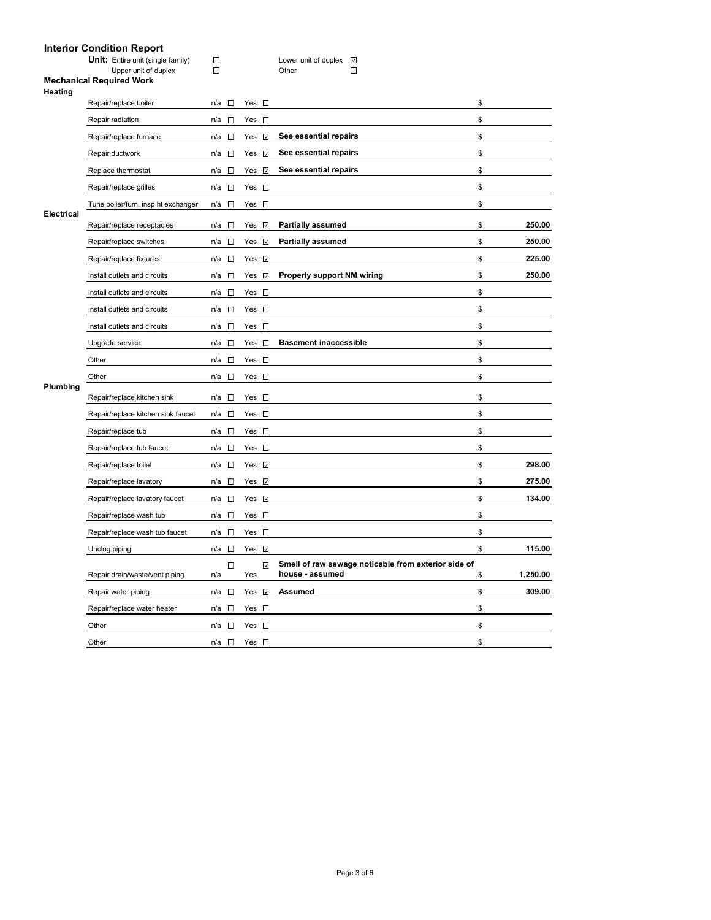# **Interior Condition Report**

|                   | interior Condition Report                                 |                                    |                     |                                                                        |                |
|-------------------|-----------------------------------------------------------|------------------------------------|---------------------|------------------------------------------------------------------------|----------------|
|                   | Unit: Entire unit (single family)<br>Upper unit of duplex | $\Box$<br>$\Box$                   |                     | Lower unit of duplex<br>$\mathcal{L}$<br>Other<br>$\Box$               |                |
|                   | <b>Mechanical Required Work</b>                           |                                    |                     |                                                                        |                |
| Heating           |                                                           |                                    |                     |                                                                        |                |
|                   | Repair/replace boiler                                     | n/a<br>$\sim$                      | $Yes \Box$          |                                                                        | \$             |
|                   | Repair radiation                                          | $\overline{\phantom{a}}$<br>n/a    | Yes $\square$       |                                                                        | \$             |
|                   | Repair/replace furnace                                    | $\sim$<br>n/a                      | Yes ⊻               | See essential repairs                                                  | \$             |
|                   | Repair ductwork                                           | $\Box$<br>n/a                      | Yes ⊻               | See essential repairs                                                  | \$             |
|                   | Replace thermostat                                        | $\Box$<br>n/a                      | Yes $\vee$          | See essential repairs                                                  | \$             |
|                   | Repair/replace grilles                                    | $\Box$<br>n/a                      | Yes $\square$       |                                                                        | \$             |
|                   | Tune boiler/furn. insp ht exchanger                       | $\sim$<br>n/a                      | Yes $\square$       |                                                                        | \$             |
| <b>Electrical</b> | Repair/replace receptacles                                | n/a<br>□                           | Yes $\vee$          | <b>Partially assumed</b>                                               | \$<br>250.00   |
|                   | Repair/replace switches                                   | n/a<br>$\overline{\phantom{a}}$    | Yes $\vee$          | <b>Partially assumed</b>                                               | \$<br>250.00   |
|                   | Repair/replace fixtures                                   | $\Box$<br>n/a                      | Yes √               |                                                                        | \$<br>225.00   |
|                   | Install outlets and circuits                              | $\mathcal{L}_{\mathcal{A}}$<br>n/a | Yes v               | <b>Properly support NM wiring</b>                                      | \$<br>250.00   |
|                   | Install outlets and circuits                              | $\Box$<br>n/a                      | Yes $\square$       |                                                                        | \$             |
|                   | Install outlets and circuits                              | n/a<br>$\Box$                      | $Yes \Box$          |                                                                        | \$             |
|                   | Install outlets and circuits                              | n/a<br>$\Box$                      | Yes $\square$       |                                                                        | \$             |
|                   | Upgrade service                                           | $\sim$<br>n/a                      | $Yes \Box$          | <b>Basement inaccessible</b>                                           | \$             |
|                   | Other                                                     | n/a<br>$\Box$                      | Yes $\square$       |                                                                        | \$             |
|                   | Other                                                     | n/a<br>$\sim$                      | Yes $\square$       |                                                                        | \$             |
| Plumbing          | Repair/replace kitchen sink                               | n/a<br>$\Box$                      | Yes $\square$       |                                                                        | \$             |
|                   | Repair/replace kitchen sink faucet                        | $\Box$<br>n/a                      | Yes $\square$       |                                                                        | \$             |
|                   | Repair/replace tub                                        | $\sim$<br>n/a                      | Yes $\square$       |                                                                        | \$             |
|                   | Repair/replace tub faucet                                 | n/a<br>$\sim$                      | Yes $\square$       |                                                                        | \$             |
|                   | Repair/replace toilet                                     | $\sim$<br>n/a                      | Yes $\vee$          |                                                                        | \$<br>298.00   |
|                   | Repair/replace lavatory                                   | □<br>n/a                           | Yes V               |                                                                        | \$<br>275.00   |
|                   | Repair/replace lavatory faucet                            | $\sim$<br>n/a                      | Yes $\vee$          |                                                                        | \$<br>134.00   |
|                   | Repair/replace wash tub                                   | □<br>n/a                           | Yes $\square$       |                                                                        | \$             |
|                   | Repair/replace wash tub faucet                            | $\Box$<br>n/a                      | Yes $\square$       |                                                                        | \$             |
|                   | Unclog piping:                                            | $\Box$<br>n/a                      | Yes √               |                                                                        | \$<br>115.00   |
|                   | Repair drain/waste/vent piping                            | □<br>n/a                           | $\checkmark$<br>Yes | Smell of raw sewage noticable from exterior side of<br>house - assumed | \$<br>1,250.00 |
|                   | Repair water piping                                       | $\Box$<br>n/a                      | Yes <b>☑</b>        | <b>Assumed</b>                                                         | \$<br>309.00   |
|                   | Repair/replace water heater                               | $n/a$ $\square$                    | Yes $\square$       |                                                                        | \$             |

Other  $n/a \Box$  Yes  $\Box$ Other  $n/a \Box$  Yes  $\Box$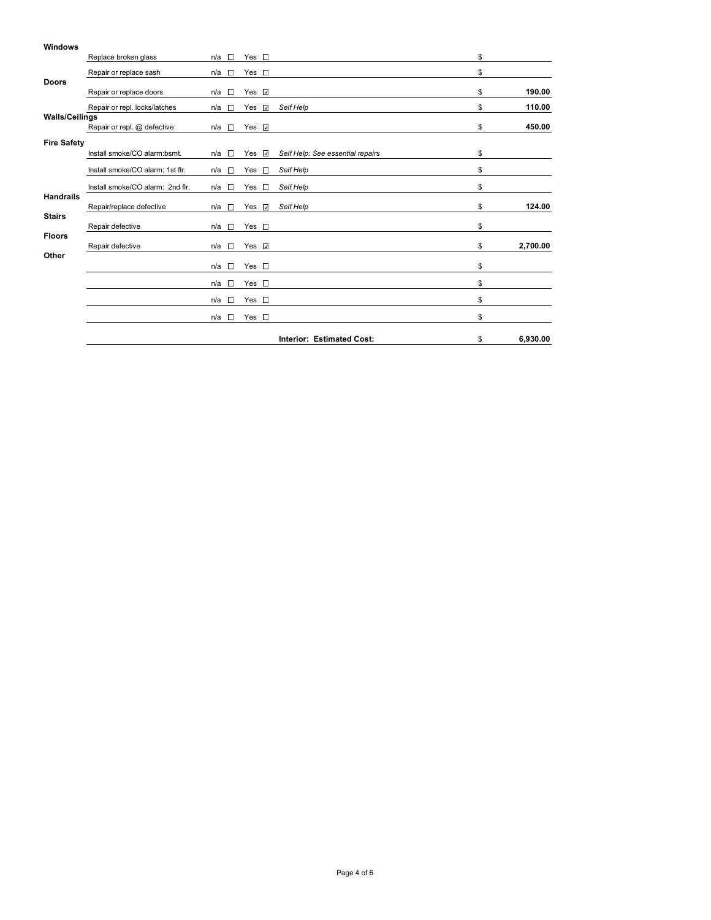| <b>Windows</b>        |                                  |                      |                     |                                  |                |
|-----------------------|----------------------------------|----------------------|---------------------|----------------------------------|----------------|
|                       | Replace broken glass             | $\Box$<br>n/a        | Yes $\square$       |                                  | \$             |
|                       | Repair or replace sash           | n/a<br>$\sim$        | $Yes \Box$          |                                  | \$             |
| <b>Doors</b>          | Repair or replace doors          | n/a<br>$\sim$        | $\checkmark$<br>Yes |                                  | \$<br>190.00   |
|                       | Repair or repl. locks/latches    | n/a<br>$\sim$        | Yes<br>$\checkmark$ | Self Help                        | \$<br>110.00   |
| <b>Walls/Ceilings</b> | Repair or repl. @ defective      | n/a<br>$\Box$        | Yes $\sqrt{ }$      |                                  | \$<br>450.00   |
| <b>Fire Safety</b>    |                                  |                      |                     |                                  |                |
|                       | Install smoke/CO alarm:bsmt.     | $\mathcal{L}$<br>n/a | Yes $\vee$          | Self Help: See essential repairs | \$             |
|                       | Install smoke/CO alarm: 1st flr. | n/a $\square$        | $\Box$<br>Yes       | Self Help                        | \$             |
|                       | Install smoke/CO alarm: 2nd flr. | n/a<br>$\sim$        | Yes<br>$\sim$       | Self Help                        | \$             |
| <b>Handrails</b>      | Repair/replace defective         | $\sim$<br>n/a        | Yes $\vee$          | Self Help                        | \$<br>124.00   |
| <b>Stairs</b>         | Repair defective                 | n/a<br>$\sim$        | Yes $\square$       |                                  | \$             |
| <b>Floors</b>         | Repair defective                 | $\sim$<br>n/a        | Yes $\vee$          |                                  | \$<br>2,700.00 |
| Other                 |                                  |                      |                     |                                  |                |
|                       |                                  | $\sim$<br>n/a        | Yes $\square$       |                                  | \$             |
|                       |                                  | $\sim$<br>n/a        | Yes $\square$       |                                  | \$             |
|                       |                                  | n/a<br><b>T</b>      | Yes $\square$       |                                  | \$             |
|                       |                                  | n/a<br>$\Box$        | Yes $\square$       |                                  | \$             |
|                       |                                  |                      |                     | <b>Interior: Estimated Cost:</b> | \$<br>6,930.00 |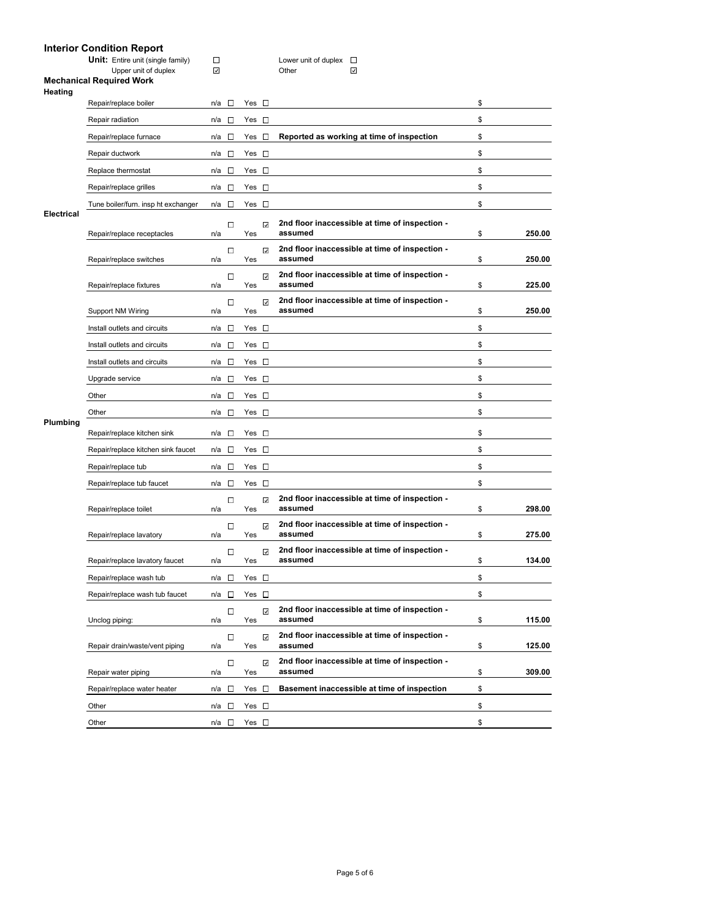# **Interior Condition Report**

| <b>Unit:</b> Entire unit (single family) |
|------------------------------------------|
| Upper unit of duplex                     |

**Unit:** Entire unit (single family) Lower unit of duplex

 $\overline{\phantom{0}}$ 

|            | Repair/replace receptacles                              | O<br>n/a                                                                                                                     | $\checkmark$<br>Yes | 2nd floor inaccessible at time of inspection -<br>assumed | \$ |
|------------|---------------------------------------------------------|------------------------------------------------------------------------------------------------------------------------------|---------------------|-----------------------------------------------------------|----|
| Electrical | Tune boiler/furn. insp ht exchanger                     | n/a $\square$                                                                                                                | Yes D               |                                                           | \$ |
|            | Repair/replace grilles                                  | n/a<br>E                                                                                                                     | Yes D               |                                                           | \$ |
|            | Replace thermostat                                      | n/a<br>E                                                                                                                     | Yes $\Box$          |                                                           | \$ |
|            | Repair ductwork                                         | n/a<br>$\Box$                                                                                                                | Yes $\square$       |                                                           | \$ |
|            | Repair/replace furnace                                  | n/a<br><b>The Contract of the Contract of the Contract of the Contract of the Contract of the Contract of the Contract o</b> | Yes $\square$       | Reported as working at time of inspection                 | \$ |
|            | Repair radiation                                        | <b>ISS</b><br>n/a                                                                                                            | Yes $\square$       |                                                           | \$ |
|            | Repair/replace boiler                                   | $n/a$ $\square$                                                                                                              | $Yes \Box$          |                                                           | \$ |
| Heating    | Opper unit or uuplex<br><b>Mechanical Required Work</b> |                                                                                                                              |                     |                                                           |    |
|            |                                                         | $\sim$                                                                                                                       |                     | vuel<br>$\sim$                                            |    |

|                   | Repair/replace furnace              | $\sim$<br>n/a                   | Yes $\square$ |              | Reported as working at time of inspection                 | \$           |
|-------------------|-------------------------------------|---------------------------------|---------------|--------------|-----------------------------------------------------------|--------------|
|                   | Repair ductwork                     | n/a □                           | Yes $\square$ |              |                                                           | \$           |
|                   | Replace thermostat                  | n/a<br>$\overline{\phantom{a}}$ | Yes $\square$ |              |                                                           | \$           |
|                   | Repair/replace grilles              | $\sim$<br>n/a                   | $Yes \Box$    |              |                                                           | \$           |
|                   | Tune boiler/furn. insp ht exchanger | n/a<br>$\sim$                   | Yes $\square$ |              |                                                           | \$           |
| <b>Electrical</b> | Repair/replace receptacles          | $\overline{\phantom{a}}$<br>n/a | Yes           | $\checkmark$ | 2nd floor inaccessible at time of inspection -<br>assumed | \$<br>250.00 |
|                   |                                     | $\Box$                          |               | $\checkmark$ | 2nd floor inaccessible at time of inspection -            |              |
|                   | Repair/replace switches             | n/a                             | Yes           |              | assumed                                                   | \$<br>250.00 |
|                   | Repair/replace fixtures             | $\Box$<br>n/a                   | Yes           | $\checkmark$ | 2nd floor inaccessible at time of inspection -<br>assumed | \$<br>225.00 |
|                   | Support NM Wiring                   | $\Box$<br>n/a                   | Yes           | $\checkmark$ | 2nd floor inaccessible at time of inspection -<br>assumed | \$<br>250.00 |
|                   | Install outlets and circuits        | n/a<br>$\Box$                   | Yes $\square$ |              |                                                           | \$           |
|                   |                                     |                                 | Yes $\square$ |              |                                                           | \$           |
|                   | Install outlets and circuits        | n/a<br>$\sim$                   |               |              |                                                           |              |
|                   | Install outlets and circuits        | n/a<br>$\sim$                   | Yes $\square$ |              |                                                           | \$           |
| Plumbing          | Upgrade service                     | $\sim$<br>n/a                   | Yes $\square$ |              |                                                           | \$           |
|                   | Other                               | n/a □                           | Yes $\square$ |              |                                                           | \$           |
|                   | Other                               | $\overline{\phantom{a}}$<br>n/a | Yes $\square$ |              |                                                           | \$           |
|                   | Repair/replace kitchen sink         | n/a<br>$\sim$                   | Yes $\square$ |              |                                                           | \$           |
|                   | Repair/replace kitchen sink faucet  | n/a<br>$\sim$                   | Yes $\square$ |              |                                                           | \$           |
|                   | Repair/replace tub                  | $\overline{\phantom{a}}$<br>n/a | Yes $\square$ |              |                                                           | \$           |
|                   | Repair/replace tub faucet           | n/a<br>$\sim$                   | Yes $\square$ |              |                                                           | \$           |
|                   | Repair/replace toilet               | $\Box$<br>n/a                   | Yes           | $\checkmark$ | 2nd floor inaccessible at time of inspection -<br>assumed | \$<br>298.00 |
|                   |                                     | $\Box$                          |               | $\checkmark$ | 2nd floor inaccessible at time of inspection -            |              |
|                   | Repair/replace lavatory             | n/a                             | Yes           |              | assumed                                                   | \$<br>275.00 |
|                   | Repair/replace lavatory faucet      | $\Box$<br>n/a                   | Yes           | $\checkmark$ | 2nd floor inaccessible at time of inspection -<br>assumed | \$<br>134.00 |
|                   | Repair/replace wash tub             | $\Box$<br>n/a                   | Yes $\square$ |              |                                                           | \$           |
|                   | Repair/replace wash tub faucet      | n/a<br>$\overline{\phantom{a}}$ | Yes           | $\Box$       |                                                           | \$           |
|                   | Unclog piping:                      | $\overline{\phantom{a}}$<br>n/a | Yes           | $\checkmark$ | 2nd floor inaccessible at time of inspection -<br>assumed | \$<br>115.00 |
|                   | Repair drain/waste/vent piping      | $\Box$<br>n/a                   | Yes           | $\checkmark$ | 2nd floor inaccessible at time of inspection -<br>assumed | \$<br>125.00 |
|                   | Repair water piping                 | $\Box$<br>n/a                   | Yes           | $\checkmark$ | 2nd floor inaccessible at time of inspection -<br>assumed | \$<br>309.00 |
|                   | Repair/replace water heater         | n/a □                           | Yes $\square$ |              | Basement inaccessible at time of inspection               | \$           |
|                   | Other                               | n/a<br>$\sim$                   | Yes $\square$ |              |                                                           | \$           |
|                   | Other                               | n/a □                           | Yes $\square$ |              |                                                           | \$           |
|                   |                                     |                                 |               |              |                                                           |              |